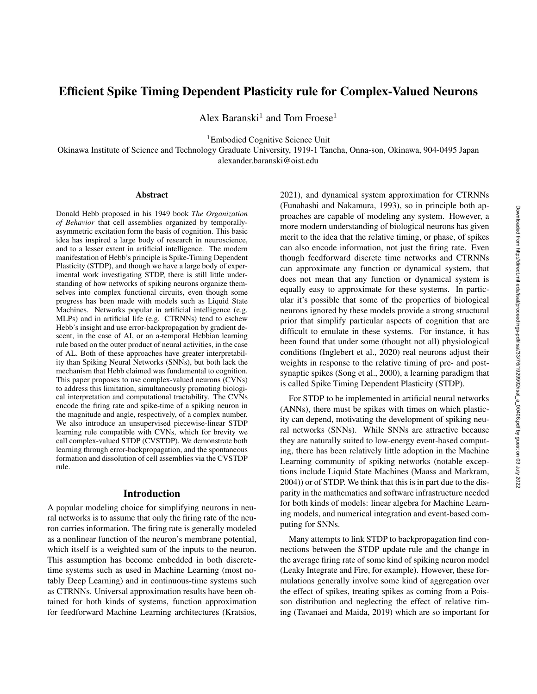# Efficient Spike Timing Dependent Plasticity rule for Complex-Valued Neurons

Alex Baranski<sup>1</sup> and Tom Froese<sup>1</sup>

<sup>1</sup>Embodied Cognitive Science Unit

Okinawa Institute of Science and Technology Graduate University, 1919-1 Tancha, Onna-son, Okinawa, 904-0495 Japan alexander.baranski@oist.edu

#### **Abstract**

Donald Hebb proposed in his 1949 book *The Organization of Behavior* that cell assemblies organized by temporallyasymmetric excitation form the basis of cognition. This basic idea has inspired a large body of research in neuroscience, and to a lesser extent in artificial intelligence. The modern manifestation of Hebb's principle is Spike-Timing Dependent Plasticity (STDP), and though we have a large body of experimental work investigating STDP, there is still little understanding of how networks of spiking neurons organize themselves into complex functional circuits, even though some progress has been made with models such as Liquid State Machines. Networks popular in artificial intelligence (e.g. MLPs) and in artificial life (e.g. CTRNNs) tend to eschew Hebb's insight and use error-backpropagation by gradient descent, in the case of AI, or an a-temporal Hebbian learning rule based on the outer product of neural activities, in the case of AL. Both of these approaches have greater interpretability than Spiking Neural Networks (SNNs), but both lack the mechanism that Hebb claimed was fundamental to cognition. This paper proposes to use complex-valued neurons (CVNs) to address this limitation, simultaneously promoting biological interpretation and computational tractability. The CVNs encode the firing rate and spike-time of a spiking neuron in the magnitude and angle, respectively, of a complex number. We also introduce an unsupervised piecewise-linear STDP learning rule compatible with CVNs, which for brevity we call complex-valued STDP (CVSTDP). We demonstrate both learning through error-backpropagation, and the spontaneous formation and dissolution of cell assemblies via the CVSTDP rule.

#### Introduction

A popular modeling choice for simplifying neurons in neural networks is to assume that only the firing rate of the neuron carries information. The firing rate is generally modeled as a nonlinear function of the neuron's membrane potential, which itself is a weighted sum of the inputs to the neuron. This assumption has become embedded in both discretetime systems such as used in Machine Learning (most notably Deep Learning) and in continuous-time systems such as CTRNNs. Universal approximation results have been obtained for both kinds of systems, function approximation for feedforward Machine Learning architectures (Kratsios,

2021), and dynamical system approximation for CTRNNs (Funahashi and Nakamura, 1993), so in principle both approaches are capable of modeling any system. However, a more modern understanding of biological neurons has given merit to the idea that the relative timing, or phase, of spikes can also encode information, not just the firing rate. Even though feedforward discrete time networks and CTRNNs can approximate any function or dynamical system, that does not mean that any function or dynamical system is equally easy to approximate for these systems. In particular it's possible that some of the properties of biological neurons ignored by these models provide a strong structural prior that simplify particular aspects of cognition that are difficult to emulate in these systems. For instance, it has been found that under some (thought not all) physiological conditions (Inglebert et al., 2020) real neurons adjust their weights in response to the relative timing of pre- and postsynaptic spikes (Song et al., 2000), a learning paradigm that is called Spike Timing Dependent Plasticity (STDP).

For STDP to be implemented in artificial neural networks (ANNs), there must be spikes with times on which plasticity can depend, motivating the development of spiking neural networks (SNNs). While SNNs are attractive because they are naturally suited to low-energy event-based computing, there has been relatively little adoption in the Machine Learning community of spiking networks (notable exceptions include Liquid State Machines (Maass and Markram, 2004)) or of STDP. We think that this is in part due to the disparity in the mathematics and software infrastructure needed for both kinds of models: linear algebra for Machine Learning models, and numerical integration and event-based computing for SNNs.

Many attempts to link STDP to backpropagation find connections between the STDP update rule and the change in the average firing rate of some kind of spiking neuron model (Leaky Integrate and Fire, for example). However, these formulations generally involve some kind of aggregation over the effect of spikes, treating spikes as coming from a Poisson distribution and neglecting the effect of relative timing (Tavanaei and Maida, 2019) which are so important for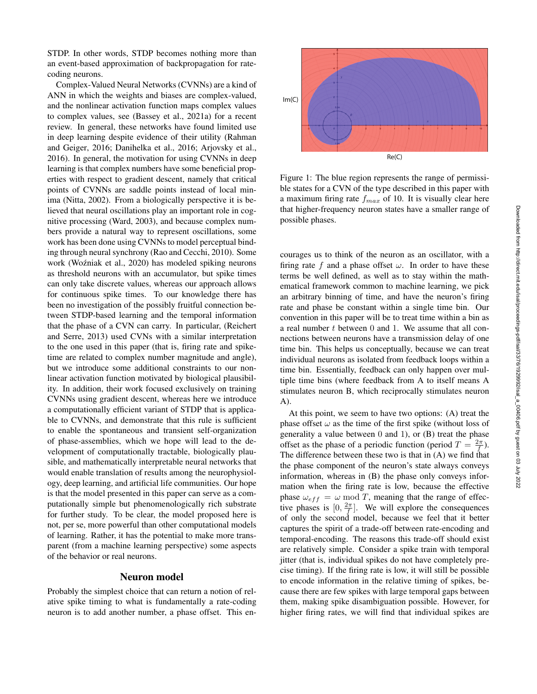STDP. In other words, STDP becomes nothing more than an event-based approximation of backpropagation for ratecoding neurons.

Complex-Valued Neural Networks (CVNNs) are a kind of ANN in which the weights and biases are complex-valued, and the nonlinear activation function maps complex values to complex values, see (Bassey et al., 2021a) for a recent review. In general, these networks have found limited use in deep learning despite evidence of their utility (Rahman and Geiger, 2016; Danihelka et al., 2016; Arjovsky et al., 2016). In general, the motivation for using CVNNs in deep learning is that complex numbers have some beneficial properties with respect to gradient descent, namely that critical points of CVNNs are saddle points instead of local minima (Nitta, 2002). From a biologically perspective it is believed that neural oscillations play an important role in cognitive processing (Ward, 2003), and because complex numbers provide a natural way to represent oscillations, some work has been done using CVNNs to model perceptual binding through neural synchrony (Rao and Cecchi, 2010). Some work (Woźniak et al., 2020) has modeled spiking neurons as threshold neurons with an accumulator, but spike times can only take discrete values, whereas our approach allows for continuous spike times. To our knowledge there has been no investigation of the possibly fruitful connection between STDP-based learning and the temporal information that the phase of a CVN can carry. In particular, (Reichert and Serre, 2013) used CVNs with a similar interpretation to the one used in this paper (that is, firing rate and spiketime are related to complex number magnitude and angle), but we introduce some additional constraints to our nonlinear activation function motivated by biological plausibility. In addition, their work focused exclusively on training CVNNs using gradient descent, whereas here we introduce a computationally efficient variant of STDP that is applicable to CVNNs, and demonstrate that this rule is sufficient to enable the spontaneous and transient self-organization of phase-assemblies, which we hope will lead to the development of computationally tractable, biologically plausible, and mathematically interpretable neural networks that would enable translation of results among the neurophysiology, deep learning, and artificial life communities. Our hope is that the model presented in this paper can serve as a computationally simple but phenomenologically rich substrate for further study. To be clear, the model proposed here is not, per se, more powerful than other computational models of learning. Rather, it has the potential to make more transparent (from a machine learning perspective) some aspects of the behavior or real neurons.

#### Neuron model

Probably the simplest choice that can return a notion of relative spike timing to what is fundamentally a rate-coding neuron is to add another number, a phase offset. This en-



Figure 1: The blue region represents the range of permissible states for a CVN of the type described in this paper with a maximum firing rate  $f_{max}$  of 10. It is visually clear here that higher-frequency neuron states have a smaller range of possible phases.

courages us to think of the neuron as an oscillator, with a firing rate f and a phase offset  $\omega$ . In order to have these terms be well defined, as well as to stay within the mathematical framework common to machine learning, we pick an arbitrary binning of time, and have the neuron's firing rate and phase be constant within a single time bin. Our convention in this paper will be to treat time within a bin as a real number t between 0 and 1. We assume that all connections between neurons have a transmission delay of one time bin. This helps us conceptually, because we can treat individual neurons as isolated from feedback loops within a time bin. Essentially, feedback can only happen over multiple time bins (where feedback from A to itself means A stimulates neuron B, which reciprocally stimulates neuron A).

At this point, we seem to have two options: (A) treat the phase offset  $\omega$  as the time of the first spike (without loss of generality a value between  $0$  and  $1$ ), or  $(B)$  treat the phase offset as the phase of a periodic function (period  $T = \frac{2\pi}{f}$ ). The difference between these two is that in (A) we find that the phase component of the neuron's state always conveys information, whereas in (B) the phase only conveys information when the firing rate is low, because the effective phase  $\omega_{eff} = \omega \mod T$ , meaning that the range of effective phases is  $[0, \frac{2\pi}{f}]$ . We will explore the consequences of only the second model, because we feel that it better captures the spirit of a trade-off between rate-encoding and temporal-encoding. The reasons this trade-off should exist are relatively simple. Consider a spike train with temporal jitter (that is, individual spikes do not have completely precise timing). If the firing rate is low, it will still be possible to encode information in the relative timing of spikes, because there are few spikes with large temporal gaps between them, making spike disambiguation possible. However, for higher firing rates, we will find that individual spikes are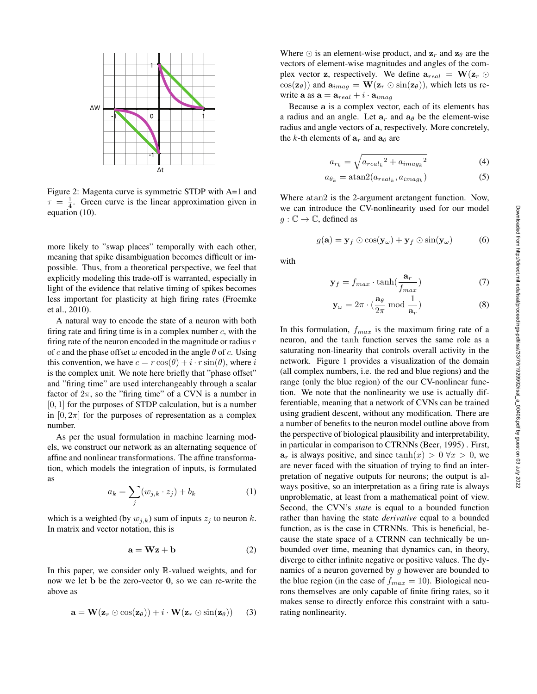

Figure 2: Magenta curve is symmetric STDP with A=1 and  $\tau = \frac{1}{4}$ . Green curve is the linear approximation given in equation (10).

more likely to "swap places" temporally with each other, meaning that spike disambiguation becomes difficult or impossible. Thus, from a theoretical perspective, we feel that explicitly modeling this trade-off is warranted, especially in light of the evidence that relative timing of spikes becomes less important for plasticity at high firing rates (Froemke et al., 2010).

A natural way to encode the state of a neuron with both firing rate and firing time is in a complex number  $c$ , with the firing rate of the neuron encoded in the magnitude or radius  $r$ of c and the phase offset  $\omega$  encoded in the angle  $\theta$  of c. Using this convention, we have  $c = r \cos(\theta) + i \cdot r \sin(\theta)$ , where i is the complex unit. We note here briefly that "phase offset" and "firing time" are used interchangeably through a scalar factor of  $2\pi$ , so the "firing time" of a CVN is a number in  $[0, 1]$  for the purposes of STDP calculation, but is a number in  $[0, 2\pi]$  for the purposes of representation as a complex number.

As per the usual formulation in machine learning models, we construct our network as an alternating sequence of affine and nonlinear transformations. The affine transformation, which models the integration of inputs, is formulated as

$$
a_k = \sum_j (w_{j,k} \cdot z_j) + b_k \tag{1}
$$

which is a weighted (by  $w_{j,k}$ ) sum of inputs  $z_j$  to neuron k. In matrix and vector notation, this is

$$
\mathbf{a} = \mathbf{W}\mathbf{z} + \mathbf{b} \tag{2}
$$

In this paper, we consider only  $\mathbb{R}$ -valued weights, and for now we let b be the zero-vector 0, so we can re-write the above as

$$
\mathbf{a} = \mathbf{W}(\mathbf{z}_r \odot \cos(\mathbf{z}_\theta)) + i \cdot \mathbf{W}(\mathbf{z}_r \odot \sin(\mathbf{z}_\theta)) \qquad (3)
$$

Where  $\odot$  is an element-wise product, and  $z_r$  and  $z_\theta$  are the vectors of element-wise magnitudes and angles of the complex vector z, respectively. We define  $\mathbf{a}_{real} = \mathbf{W}(\mathbf{z}_r \odot$  $\cos(\mathbf{z}_{\theta})$  and  $\mathbf{a}_{i m a g} = \mathbf{W}(\mathbf{z}_{r} \odot \sin(\mathbf{z}_{\theta}))$ , which lets us rewrite  $\mathbf{a}$  as  $\mathbf{a} = \mathbf{a}_{real} + i \cdot \mathbf{a}_{imag}$ 

Because a is a complex vector, each of its elements has a radius and an angle. Let  $a_r$  and  $a_\theta$  be the element-wise radius and angle vectors of a, respectively. More concretely, the k-th elements of  $a_r$  and  $a_\theta$  are

$$
a_{r_k} = \sqrt{a_{real_k}^2 + a_{imag_k}^2}
$$
 (4)

$$
a_{\theta_k} = \operatorname{atan2}(a_{real_k}, a_{imag_k}) \tag{5}
$$

Where atan2 is the 2-argument arctangent function. Now, we can introduce the CV-nonlinearity used for our model  $g: \mathbb{C} \to \mathbb{C}$ , defined as

$$
g(\mathbf{a}) = \mathbf{y}_f \odot \cos(\mathbf{y}_\omega) + \mathbf{y}_f \odot \sin(\mathbf{y}_\omega) \tag{6}
$$

with

$$
\mathbf{y}_f = f_{max} \cdot \tanh(\frac{\mathbf{a}_r}{f_{max}}) \tag{7}
$$

$$
\mathbf{y}_{\omega} = 2\pi \cdot \left(\frac{\mathbf{a}_{\theta}}{2\pi} \bmod \frac{1}{\mathbf{a}_r}\right) \tag{8}
$$

In this formulation,  $f_{max}$  is the maximum firing rate of a neuron, and the tanh function serves the same role as a saturating non-linearity that controls overall activity in the network. Figure 1 provides a visualization of the domain (all complex numbers, i.e. the red and blue regions) and the range (only the blue region) of the our CV-nonlinear function. We note that the nonlinearity we use is actually differentiable, meaning that a network of CVNs can be trained using gradient descent, without any modification. There are a number of benefits to the neuron model outline above from the perspective of biological plausibility and interpretability, in particular in comparison to CTRNNs (Beer, 1995) . First,  $a_r$  is always positive, and since  $\tanh(x) > 0 \,\forall x > 0$ , we are never faced with the situation of trying to find an interpretation of negative outputs for neurons; the output is always positive, so an interpretation as a firing rate is always unproblematic, at least from a mathematical point of view. Second, the CVN's *state* is equal to a bounded function rather than having the state *derivative* equal to a bounded function, as is the case in CTRNNs. This is beneficial, because the state space of a CTRNN can technically be unbounded over time, meaning that dynamics can, in theory, diverge to either infinite negative or positive values. The dynamics of a neuron governed by  $q$  however are bounded to the blue region (in the case of  $f_{max} = 10$ ). Biological neurons themselves are only capable of finite firing rates, so it makes sense to directly enforce this constraint with a saturating nonlinearity.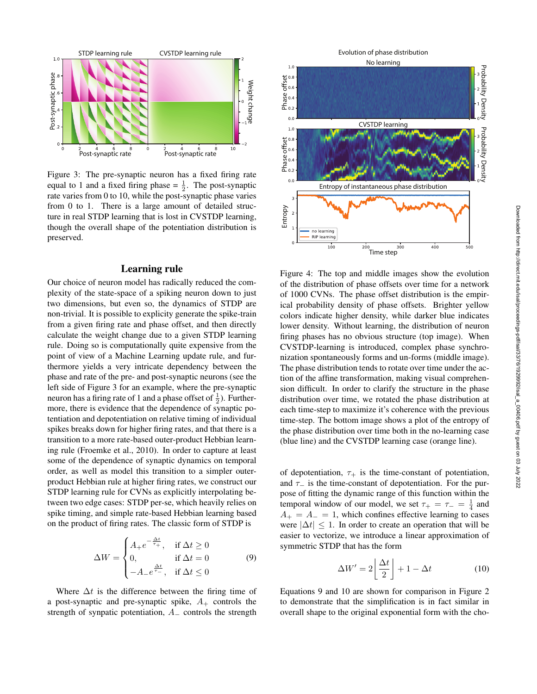

Figure 3: The pre-synaptic neuron has a fixed firing rate equal to 1 and a fixed firing phase  $=$   $\frac{1}{2}$ . The post-synaptic rate varies from 0 to 10, while the post-synaptic phase varies from 0 to 1. There is a large amount of detailed structure in real STDP learning that is lost in CVSTDP learning, though the overall shape of the potentiation distribution is preserved.

# Learning rule

Our choice of neuron model has radically reduced the complexity of the state-space of a spiking neuron down to just two dimensions, but even so, the dynamics of STDP are non-trivial. It is possible to explicity generate the spike-train from a given firing rate and phase offset, and then directly calculate the weight change due to a given STDP learning rule. Doing so is computationally quite expensive from the point of view of a Machine Learning update rule, and furthermore yields a very intricate dependency between the phase and rate of the pre- and post-synaptic neurons (see the left side of Figure 3 for an example, where the pre-synaptic neuron has a firing rate of 1 and a phase offset of  $\frac{1}{2}$ ). Furthermore, there is evidence that the dependence of synaptic potentiation and depotentiation on relative timing of individual spikes breaks down for higher firing rates, and that there is a transition to a more rate-based outer-product Hebbian learning rule (Froemke et al., 2010). In order to capture at least some of the dependence of synaptic dynamics on temporal order, as well as model this transition to a simpler outerproduct Hebbian rule at higher firing rates, we construct our STDP learning rule for CVNs as explicitly interpolating between two edge cases: STDP per-se, which heavily relies on spike timing, and simple rate-based Hebbian learning based on the product of firing rates. The classic form of STDP is Strength of the potentiation, and the synpatic potential in the synchronous of synthesis in the synthesis of synthesis and the synthesis of synthesis potential in the synthesis potential in the synthesis Probability Densi

$$
\Delta W = \begin{cases} A_{+}e^{-\frac{\Delta t}{\tau_{+}}}, & \text{if } \Delta t \ge 0\\ 0, & \text{if } \Delta t = 0\\ -A_{-}e^{\frac{\Delta t}{\tau_{-}}}, & \text{if } \Delta t \le 0 \end{cases}
$$
(9)

Where  $\Delta t$  is the difference between the firing time of a post-synaptic and pre-synaptic spike,  $A_+$  controls the



Figure 4: The top and middle images show the evolution of the distribution of phase offsets over time for a network of 1000 CVNs. The phase offset distribution is the empirical probability density of phase offsets. Brighter yellow colors indicate higher density, while darker blue indicates lower density. Without learning, the distribution of neuron firing phases has no obvious structure (top image). When CVSTDP-learning is introduced, complex phase synchronization spontaneously forms and un-forms (middle image). The phase distribution tends to rotate over time under the action of the affine transformation, making visual comprehension difficult. In order to clarify the structure in the phase distribution over time, we rotated the phase distribution at each time-step to maximize it's coherence with the previous time-step. The bottom image shows a plot of the entropy of the phase distribution over time both in the no-learning case (blue line) and the CVSTDP learning case (orange line).

of depotentiation,  $\tau_{+}$  is the time-constant of potentiation, and  $\tau_-\$  is the time-constant of depotentiation. For the purpose of fitting the dynamic range of this function within the temporal window of our model, we set  $\tau_+ = \tau_- = \frac{1}{4}$  and  $A_{+} = A_{-} = 1$ , which confines effective learning to cases were  $|\Delta t| \leq 1$ . In order to create an operation that will be easier to vectorize, we introduce a linear approximation of symmetric STDP that has the form

$$
\Delta W' = 2\left\lfloor \frac{\Delta t}{2} \right\rfloor + 1 - \Delta t \tag{10}
$$

Equations 9 and 10 are shown for comparison in Figure 2 to demonstrate that the simplification is in fact similar in overall shape to the original exponential form with the cho-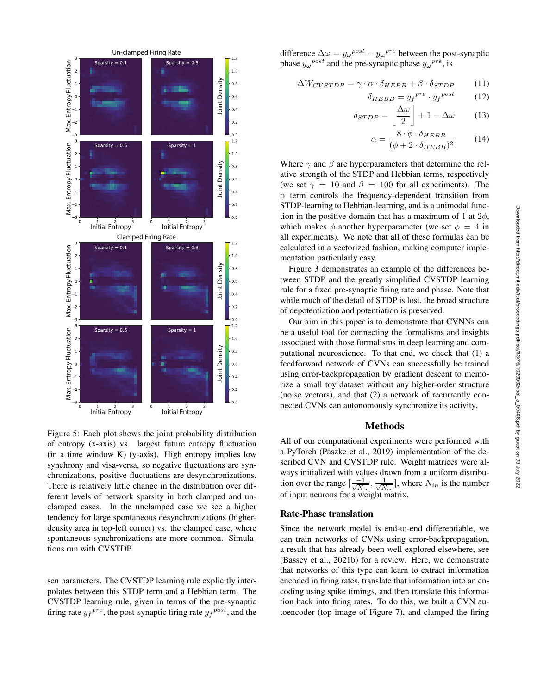

Figure 5: Each plot shows the joint probability distribution of entropy (x-axis) vs. largest future entropy fluctuation  $(in a time window K) (y-axis)$ . High entropy implies low synchrony and visa-versa, so negative fluctuations are synchronizations, positive fluctuations are desynchronizations. There is relatively little change in the distribution over different levels of network sparsity in both clamped and unclamped cases. In the unclamped case we see a higher tendency for large spontaneous desynchronizations (higherdensity area in top-left corner) vs. the clamped case, where spontaneous synchronizations are more common. Simulations run with CVSTDP.

sen parameters. The CVSTDP learning rule explicitly interpolates between this STDP term and a Hebbian term. The CVSTDP learning rule, given in terms of the pre-synaptic firing rate  $y_f^{pre}$ , the post-synaptic firing rate  $y_f^{post}$ , and the

difference  $\Delta \omega = y_{\omega}^{post} - y_{\omega}^{pre}$  between the post-synaptic phase  $y_{\omega}^{post}$  and the pre-synaptic phase  $y_{\omega}^{pre}$ , is

$$
\Delta W_{CVSTDP} = \gamma \cdot \alpha \cdot \delta_{HEBB} + \beta \cdot \delta_{STDP} \tag{11}
$$

$$
\delta_{HEBB} = y_f^{pre} \cdot y_f^{post} \tag{12}
$$

$$
\delta_{STDP} = \left\lfloor \frac{\Delta \omega}{2} \right\rfloor + 1 - \Delta \omega \tag{13}
$$

$$
\alpha = \frac{8 \cdot \phi \cdot \delta_{HEBB}}{(\phi + 2 \cdot \delta_{HEBB})^2}
$$
 (14)

Where  $\gamma$  and  $\beta$  are hyperparameters that determine the relative strength of the STDP and Hebbian terms, respectively (we set  $\gamma = 10$  and  $\beta = 100$  for all experiments). The  $\alpha$  term controls the frequency-dependent transition from STDP-learning to Hebbian-learning, and is a unimodal function in the positive domain that has a maximum of 1 at  $2\phi$ , which makes  $\phi$  another hyperparameter (we set  $\phi = 4$  in all experiments). We note that all of these formulas can be calculated in a vectorized fashion, making computer implementation particularly easy.

Figure 3 demonstrates an example of the differences between STDP and the greatly simplified CVSTDP learning rule for a fixed pre-synaptic firing rate and phase. Note that while much of the detail of STDP is lost, the broad structure of depotentiation and potentiation is preserved.

Our aim in this paper is to demonstrate that CVNNs can be a useful tool for connecting the formalisms and insights associated with those formalisms in deep learning and computational neuroscience. To that end, we check that (1) a feedforward network of CVNs can successfully be trained using error-backpropagation by gradient descent to memorize a small toy dataset without any higher-order structure (noise vectors), and that (2) a network of recurrently connected CVNs can autonomously synchronize its activity.

# Methods

All of our computational experiments were performed with a PyTorch (Paszke et al., 2019) implementation of the described CVN and CVSTDP rule. Weight matrices were always initialized with values drawn from a uniform distribution over the range  $\left[\frac{-1}{\sqrt{N_{in}}}, \frac{1}{\sqrt{N_{in}}} \right]$  $\frac{1}{N_{in}}$ , where  $N_{in}$  is the number of input neurons for a weight matrix.

#### Rate-Phase translation

Since the network model is end-to-end differentiable, we can train networks of CVNs using error-backpropagation, a result that has already been well explored elsewhere, see (Bassey et al., 2021b) for a review. Here, we demonstrate that networks of this type can learn to extract information encoded in firing rates, translate that information into an encoding using spike timings, and then translate this information back into firing rates. To do this, we built a CVN autoencoder (top image of Figure 7), and clamped the firing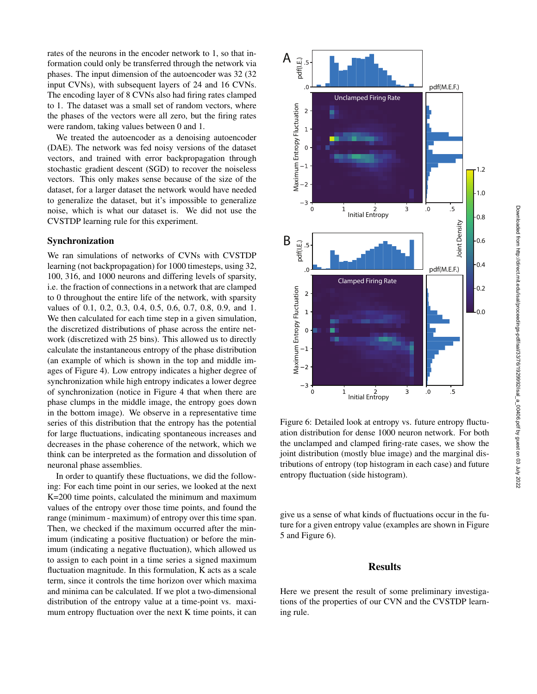rates of the neurons in the encoder network to 1, so that information could only be transferred through the network via phases. The input dimension of the autoencoder was 32 (32 input CVNs), with subsequent layers of 24 and 16 CVNs. The encoding layer of 8 CVNs also had firing rates clamped to 1. The dataset was a small set of random vectors, where the phases of the vectors were all zero, but the firing rates were random, taking values between 0 and 1.

We treated the autoencoder as a denoising autoencoder (DAE). The network was fed noisy versions of the dataset vectors, and trained with error backpropagation through stochastic gradient descent (SGD) to recover the noiseless vectors. This only makes sense because of the size of the dataset, for a larger dataset the network would have needed to generalize the dataset, but it's impossible to generalize noise, which is what our dataset is. We did not use the CVSTDP learning rule for this experiment.

## Synchronization

We ran simulations of networks of CVNs with CVSTDP learning (not backpropagation) for 1000 timesteps, using 32, 100, 316, and 1000 neurons and differing levels of sparsity, i.e. the fraction of connections in a network that are clamped to 0 throughout the entire life of the network, with sparsity values of 0.1, 0.2, 0.3, 0.4, 0.5, 0.6, 0.7, 0.8, 0.9, and 1. We then calculated for each time step in a given simulation, the discretized distributions of phase across the entire network (discretized with 25 bins). This allowed us to directly calculate the instantaneous entropy of the phase distribution (an example of which is shown in the top and middle images of Figure 4). Low entropy indicates a higher degree of synchronization while high entropy indicates a lower degree of synchronization (notice in Figure 4 that when there are phase clumps in the middle image, the entropy goes down in the bottom image). We observe in a representative time series of this distribution that the entropy has the potential for large fluctuations, indicating spontaneous increases and decreases in the phase coherence of the network, which we think can be interpreted as the formation and dissolution of neuronal phase assemblies.

In order to quantify these fluctuations, we did the following: For each time point in our series, we looked at the next K=200 time points, calculated the minimum and maximum values of the entropy over those time points, and found the range (minimum - maximum) of entropy over this time span. Then, we checked if the maximum occurred after the minimum (indicating a positive fluctuation) or before the minimum (indicating a negative fluctuation), which allowed us to assign to each point in a time series a signed maximum fluctuation magnitude. In this formulation, K acts as a scale term, since it controls the time horizon over which maxima and minima can be calculated. If we plot a two-dimensional distribution of the entropy value at a time-point vs. maximum entropy fluctuation over the next K time points, it can



Figure 6: Detailed look at entropy vs. future entropy fluctuation distribution for dense 1000 neuron network. For both the unclamped and clamped firing-rate cases, we show the joint distribution (mostly blue image) and the marginal distributions of entropy (top histogram in each case) and future entropy fluctuation (side histogram).

give us a sense of what kinds of fluctuations occur in the future for a given entropy value (examples are shown in Figure 5 and Figure 6).

#### Results

Here we present the result of some preliminary investigations of the properties of our CVN and the CVSTDP learning rule.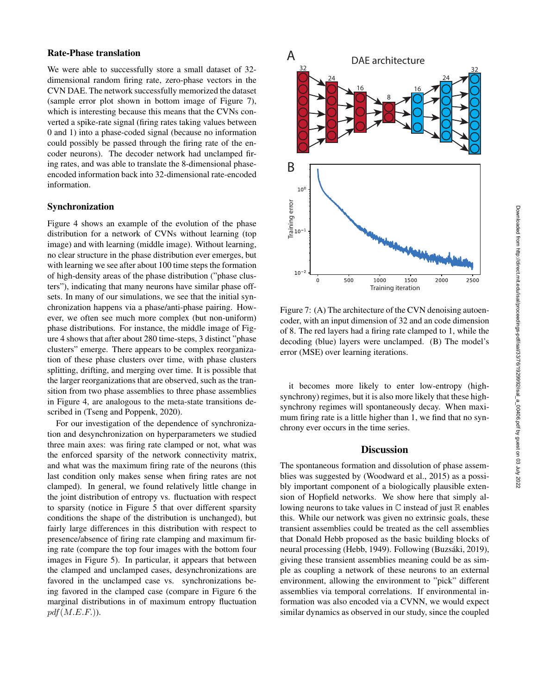## Rate-Phase translation

We were able to successfully store a small dataset of 32 dimensional random firing rate, zero-phase vectors in the CVN DAE. The network successfully memorized the dataset (sample error plot shown in bottom image of Figure 7), which is interesting because this means that the CVNs converted a spike-rate signal (firing rates taking values between 0 and 1) into a phase-coded signal (because no information could possibly be passed through the firing rate of the encoder neurons). The decoder network had unclamped firing rates, and was able to translate the 8-dimensional phaseencoded information back into 32-dimensional rate-encoded information.

## Synchronization

Figure 4 shows an example of the evolution of the phase distribution for a network of CVNs without learning (top image) and with learning (middle image). Without learning, no clear structure in the phase distribution ever emerges, but with learning we see after about 100 time steps the formation of high-density areas of the phase distribution ("phase clusters"), indicating that many neurons have similar phase offsets. In many of our simulations, we see that the initial synchronization happens via a phase/anti-phase pairing. However, we often see much more complex (but non-uniform) phase distributions. For instance, the middle image of Figure 4 shows that after about 280 time-steps, 3 distinct "phase clusters" emerge. There appears to be complex reorganization of these phase clusters over time, with phase clusters splitting, drifting, and merging over time. It is possible that the larger reorganizations that are observed, such as the transition from two phase assemblies to three phase assemblies in Figure 4, are analogous to the meta-state transitions described in (Tseng and Poppenk, 2020).

For our investigation of the dependence of synchronization and desynchronization on hyperparameters we studied three main axes: was firing rate clamped or not, what was the enforced sparsity of the network connectivity matrix, and what was the maximum firing rate of the neurons (this last condition only makes sense when firing rates are not clamped). In general, we found relatively little change in the joint distribution of entropy vs. fluctuation with respect to sparsity (notice in Figure 5 that over different sparsity conditions the shape of the distribution is unchanged), but fairly large differences in this distribution with respect to presence/absence of firing rate clamping and maximum firing rate (compare the top four images with the bottom four images in Figure 5). In particular, it appears that between the clamped and unclamped cases, desynchronizations are favored in the unclamped case vs. synchronizations being favored in the clamped case (compare in Figure 6 the marginal distributions in of maximum entropy fluctuation  $pdf(M.E.F.).$ 



Figure 7: (A) The architecture of the CVN denoising autoencoder, with an input dimension of 32 and an code dimension of 8. The red layers had a firing rate clamped to 1, while the decoding (blue) layers were unclamped. (B) The model's error (MSE) over learning iterations.

it becomes more likely to enter low-entropy (highsynchrony) regimes, but it is also more likely that these highsynchrony regimes will spontaneously decay. When maximum firing rate is a little higher than 1, we find that no synchrony ever occurs in the time series.

## **Discussion**

The spontaneous formation and dissolution of phase assemblies was suggested by (Woodward et al., 2015) as a possibly important component of a biologically plausible extension of Hopfield networks. We show here that simply allowing neurons to take values in  $\mathbb C$  instead of just  $\mathbb R$  enables this. While our network was given no extrinsic goals, these transient assemblies could be treated as the cell assemblies that Donald Hebb proposed as the basic building blocks of neural processing (Hebb, 1949). Following (Buzsáki, 2019), giving these transient assemblies meaning could be as simple as coupling a network of these neurons to an external environment, allowing the environment to "pick" different assemblies via temporal correlations. If environmental information was also encoded via a CVNN, we would expect similar dynamics as observed in our study, since the coupled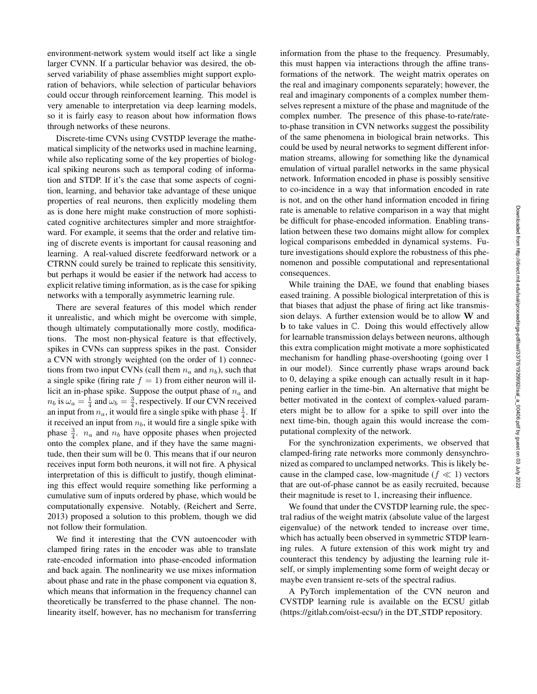environment-network system would itself act like a single larger CVNN. If a particular behavior was desired, the observed variability of phase assemblies might support exploration of behaviors, while selection of particular behaviors could occur through reinforcement learning. This model is very amenable to interpretation via deep learning models, so it is fairly easy to reason about how information flows through networks of these neurons.

Discrete-time CVNs using CVSTDP leverage the mathematical simplicity of the networks used in machine learning, while also replicating some of the key properties of biological spiking neurons such as temporal coding of information and STDP. If it's the case that some aspects of cognition, learning, and behavior take advantage of these unique properties of real neurons, then explicitly modeling them as is done here might make construction of more sophisticated cognitive architectures simpler and more straightforward. For example, it seems that the order and relative timing of discrete events is important for causal reasoning and learning. A real-valued discrete feedforward network or a CTRNN could surely be trained to replicate this sensitivity, but perhaps it would be easier if the network had access to explicit relative timing information, as is the case for spiking networks with a temporally asymmetric learning rule.

There are several features of this model which render it unrealistic, and which might be overcome with simple, though ultimately computationally more costly, modifications. The most non-physical feature is that effectively, spikes in CVNs can suppress spikes in the past. Consider a CVN with strongly weighted (on the order of 1) connections from two input CVNs (call them  $n_a$  and  $n_b$ ), such that a single spike (firing rate  $f = 1$ ) from either neuron will illicit an in-phase spike. Suppose the output phase of  $n_a$  and  $n_b$  is  $\omega_a = \frac{1}{4}$  and  $\omega_b = \frac{3}{4}$ , respectively. If our CVN received an input from  $n_a$ , it would fire a single spike with phase  $\frac{1}{4}$ . If it received an input from  $n_b$ , it would fire a single spike with phase  $\frac{3}{4}$ .  $n_a$  and  $n_b$  have opposite phases when projected onto the complex plane, and if they have the same magnitude, then their sum will be 0. This means that if our neuron receives input form both neurons, it will not fire. A physical interpretation of this is difficult to justify, though eliminating this effect would require something like performing a cumulative sum of inputs ordered by phase, which would be computationally expensive. Notably, (Reichert and Serre, 2013) proposed a solution to this problem, though we did not follow their formulation.

We find it interesting that the CVN autoencoder with clamped firing rates in the encoder was able to translate rate-encoded information into phase-encoded information and back again. The nonlinearity we use mixes information about phase and rate in the phase component via equation 8, which means that information in the frequency channel can theoretically be transferred to the phase channel. The nonlinearity itself, however, has no mechanism for transferring information from the phase to the frequency. Presumably, this must happen via interactions through the affine transformations of the network. The weight matrix operates on the real and imaginary components separately; however, the real and imaginary components of a complex number themselves represent a mixture of the phase and magnitude of the complex number. The presence of this phase-to-rate/rateto-phase transition in CVN networks suggest the possibility of the same phenomena in biological brain networks. This could be used by neural networks to segment different information streams, allowing for something like the dynamical emulation of virtual parallel networks in the same physical network. Information encoded in phase is possibly sensitive to co-incidence in a way that information encoded in rate is not, and on the other hand information encoded in firing rate is amenable to relative comparison in a way that might be difficult for phase-encoded information. Enabling translation between these two domains might allow for complex logical comparisons embedded in dynamical systems. Future investigations should explore the robustness of this phenomenon and possible computational and representational consequences.

While training the DAE, we found that enabling biases eased training. A possible biological interpretation of this is that biases that adjust the phase of firing act like transmission delays. A further extension would be to allow W and b to take values in C. Doing this would effectively allow for learnable transmission delays between neurons, although this extra complication might motivate a more sophisticated mechanism for handling phase-overshooting (going over 1 in our model). Since currently phase wraps around back to 0, delaying a spike enough can actually result in it happening earlier in the time-bin. An alternative that might be better motivated in the context of complex-valued parameters might be to allow for a spike to spill over into the next time-bin, though again this would increase the computational complexity of the network.

For the synchronization experiments, we observed that clamped-firing rate networks more commonly densynchronized as compared to unclamped networks. This is likely because in the clamped case, low-magnitude ( $f \ll 1$ ) vectors that are out-of-phase cannot be as easily recruited, because their magnitude is reset to 1, increasing their influence.

We found that under the CVSTDP learning rule, the spectral radius of the weight matrix (absolute value of the largest eigenvalue) of the network tended to increase over time, which has actually been observed in symmetric STDP learning rules. A future extension of this work might try and counteract this tendency by adjusting the learning rule itself, or simply implementing some form of weight decay or maybe even transient re-sets of the spectral radius.

A PyTorch implementation of the CVN neuron and CVSTDP learning rule is available on the ECSU gitlab (https://gitlab.com/oist-ecsu/) in the DT\_STDP repository.